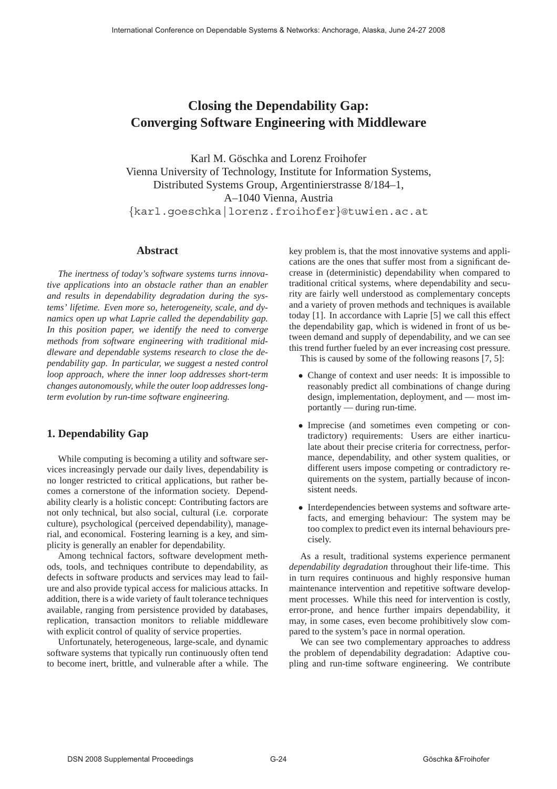# **Closing the Dependability Gap: Converging Software Engineering with Middleware**

Karl M. Göschka and Lorenz Froihofer Vienna University of Technology, Institute for Information Systems, Distributed Systems Group, Argentinierstrasse 8/184–1, A–1040 Vienna, Austria {karl.goeschka|lorenz.froihofer}@tuwien.ac.at

## **Abstract**

*The inertness of today's software systems turns innovative applications into an obstacle rather than an enabler and results in dependability degradation during the systems' lifetime. Even more so, heterogeneity, scale, and dynamics open up what Laprie called the dependability gap. In this position paper, we identify the need to converge methods from software engineering with traditional middleware and dependable systems research to close the dependability gap. In particular, we suggest a nested control loop approach, where the inner loop addresses short-term changes autonomously, while the outer loop addresses longterm evolution by run-time software engineering.*

## **1. Dependability Gap**

While computing is becoming a utility and software services increasingly pervade our daily lives, dependability is no longer restricted to critical applications, but rather becomes a cornerstone of the information society. Dependability clearly is a holistic concept: Contributing factors are not only technical, but also social, cultural (i.e. corporate culture), psychological (perceived dependability), managerial, and economical. Fostering learning is a key, and simplicity is generally an enabler for dependability.

Among technical factors, software development methods, tools, and techniques contribute to dependability, as defects in software products and services may lead to failure and also provide typical access for malicious attacks. In addition, there is a wide variety of fault tolerance techniques available, ranging from persistence provided by databases, replication, transaction monitors to reliable middleware with explicit control of quality of service properties.

Unfortunately, heterogeneous, large-scale, and dynamic software systems that typically run continuously often tend to become inert, brittle, and vulnerable after a while. The key problem is, that the most innovative systems and applications are the ones that suffer most from a significant decrease in (deterministic) dependability when compared to traditional critical systems, where dependability and security are fairly well understood as complementary concepts and a variety of proven methods and techniques is available today [1]. In accordance with Laprie [5] we call this effect the dependability gap, which is widened in front of us between demand and supply of dependability, and we can see this trend further fueled by an ever increasing cost pressure.

This is caused by some of the following reasons [7, 5]:

- Change of context and user needs: It is impossible to reasonably predict all combinations of change during design, implementation, deployment, and — most importantly — during run-time.
- Imprecise (and sometimes even competing or contradictory) requirements: Users are either inarticulate about their precise criteria for correctness, performance, dependability, and other system qualities, or different users impose competing or contradictory requirements on the system, partially because of inconsistent needs.
- Interdependencies between systems and software artefacts, and emerging behaviour: The system may be too complex to predict even its internal behaviours precisely.

As a result, traditional systems experience permanent *dependability degradation* throughout their life-time. This in turn requires continuous and highly responsive human maintenance intervention and repetitive software development processes. While this need for intervention is costly, error-prone, and hence further impairs dependability, it may, in some cases, even become prohibitively slow compared to the system's pace in normal operation.

We can see two complementary approaches to address the problem of dependability degradation: Adaptive coupling and run-time software engineering. We contribute